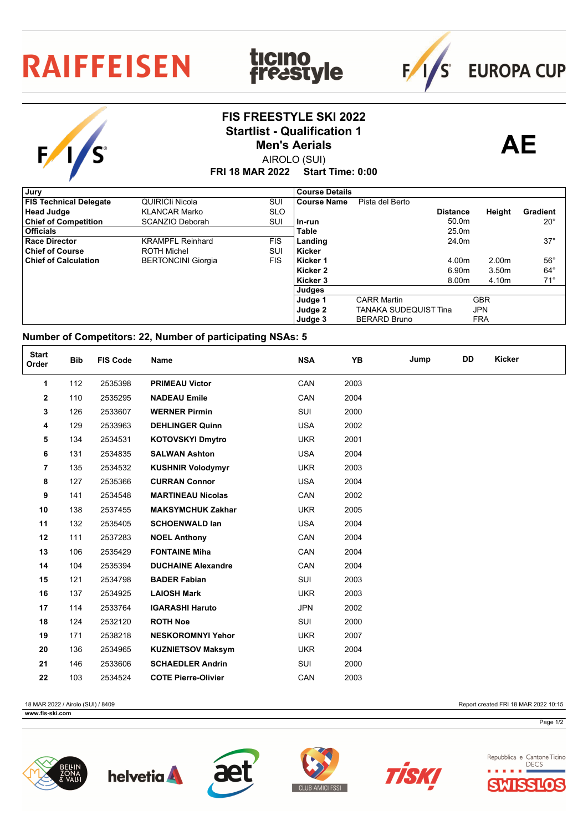## **RAIFFEISEN**

S

## **FIS FREESTYLE SKI 2022** Startlist - Qualification 1<br> **AE**

**ticino<br>freastyle** 



**EUROPA CUP** 

 $F/1/s$ 

AIROLO (SUI)

**FRI 18 MAR 2022 Start Time: 0:00**

| , Jury                        |                           |            | <b>Course Details</b> |                              |                   |                   |                 |
|-------------------------------|---------------------------|------------|-----------------------|------------------------------|-------------------|-------------------|-----------------|
| <b>FIS Technical Delegate</b> | QUIRICII Nicola           | SUI        | <b>Course Name</b>    | Pista del Berto              |                   |                   |                 |
| <b>Head Judge</b>             | <b>KLANCAR Marko</b>      | <b>SLO</b> |                       |                              | <b>Distance</b>   | Height            | <b>Gradient</b> |
| <b>Chief of Competition</b>   | SCANZIO Deborah           | SUI        | In-run                |                              | 50.0 <sub>m</sub> |                   | $20^{\circ}$    |
| <b>Officials</b>              |                           |            | <b>Table</b>          |                              | 25.0m             |                   |                 |
| <b>Race Director</b>          | <b>KRAMPFL Reinhard</b>   | FIS.       | Landing               |                              | 24.0m             |                   | $37^\circ$      |
| <b>Chief of Course</b>        | <b>ROTH Michel</b>        | SUI        | <b>Kicker</b>         |                              |                   |                   |                 |
| <b>Chief of Calculation</b>   | <b>BERTONCINI Giorgia</b> | FIS.       | Kicker 1              |                              | 4.00m             | 2.00m             | $56^{\circ}$    |
|                               |                           |            | Kicker 2              |                              | 6.90m             | 3.50 <sub>m</sub> | $64^{\circ}$    |
|                               |                           |            | Kicker 3              |                              | 8.00m             | 4.10m             | $71^{\circ}$    |
|                               |                           |            | Judges                |                              |                   |                   |                 |
|                               |                           |            | Judge 1               | <b>CARR Martin</b>           |                   | <b>GBR</b>        |                 |
|                               |                           |            | Judge 2               | <b>TANAKA SUDEQUIST Tina</b> |                   | <b>JPN</b>        |                 |
|                               |                           |            | Judge 3               | <b>BERARD Bruno</b>          |                   | <b>FRA</b>        |                 |

## **Number of Competitors: 22, Number of participating NSAs: 5**

| <b>Start</b><br>Order | <b>Bib</b> | <b>FIS Code</b> | Name                       | <b>NSA</b> | YB   | Jump | DD | Kicker |
|-----------------------|------------|-----------------|----------------------------|------------|------|------|----|--------|
| 1                     | 112        | 2535398         | <b>PRIMEAU Victor</b>      | CAN        | 2003 |      |    |        |
| $\mathbf{2}$          | 110        | 2535295         | <b>NADEAU Emile</b>        | CAN        | 2004 |      |    |        |
| 3                     | 126        | 2533607         | <b>WERNER Pirmin</b>       | SUI        | 2000 |      |    |        |
| 4                     | 129        | 2533963         | <b>DEHLINGER Quinn</b>     | <b>USA</b> | 2002 |      |    |        |
| 5                     | 134        | 2534531         | <b>KOTOVSKYI Dmytro</b>    | <b>UKR</b> | 2001 |      |    |        |
| 6                     | 131        | 2534835         | <b>SALWAN Ashton</b>       | <b>USA</b> | 2004 |      |    |        |
| 7                     | 135        | 2534532         | <b>KUSHNIR Volodymyr</b>   | <b>UKR</b> | 2003 |      |    |        |
| 8                     | 127        | 2535366         | <b>CURRAN Connor</b>       | <b>USA</b> | 2004 |      |    |        |
| 9                     | 141        | 2534548         | <b>MARTINEAU Nicolas</b>   | CAN        | 2002 |      |    |        |
| 10                    | 138        | 2537455         | <b>MAKSYMCHUK Zakhar</b>   | <b>UKR</b> | 2005 |      |    |        |
| 11                    | 132        | 2535405         | <b>SCHOENWALD lan</b>      | <b>USA</b> | 2004 |      |    |        |
| 12                    | 111        | 2537283         | <b>NOEL Anthony</b>        | CAN        | 2004 |      |    |        |
| 13                    | 106        | 2535429         | <b>FONTAINE Miha</b>       | CAN        | 2004 |      |    |        |
| 14                    | 104        | 2535394         | <b>DUCHAINE Alexandre</b>  | CAN        | 2004 |      |    |        |
| 15                    | 121        | 2534798         | <b>BADER Fabian</b>        | SUI        | 2003 |      |    |        |
| 16                    | 137        | 2534925         | <b>LAIOSH Mark</b>         | <b>UKR</b> | 2003 |      |    |        |
| 17                    | 114        | 2533764         | <b>IGARASHI Haruto</b>     | <b>JPN</b> | 2002 |      |    |        |
| 18                    | 124        | 2532120         | <b>ROTH Noe</b>            | SUI        | 2000 |      |    |        |
| 19                    | 171        | 2538218         | <b>NESKOROMNYI Yehor</b>   | <b>UKR</b> | 2007 |      |    |        |
| 20                    | 136        | 2534965         | <b>KUZNIETSOV Maksym</b>   | <b>UKR</b> | 2004 |      |    |        |
| 21                    | 146        | 2533606         | <b>SCHAEDLER Andrin</b>    | SUI        | 2000 |      |    |        |
| 22                    | 103        | 2534524         | <b>COTE Pierre-Olivier</b> | CAN        | 2003 |      |    |        |

18 MAR 2022 / Airolo (SUI) / 8409 Report created FRI 18 MAR 2022 10:15

**WWW.fis-ski.com** 











Repubblica e Cantone Ticino **DECS** SSILO

Page 1/2